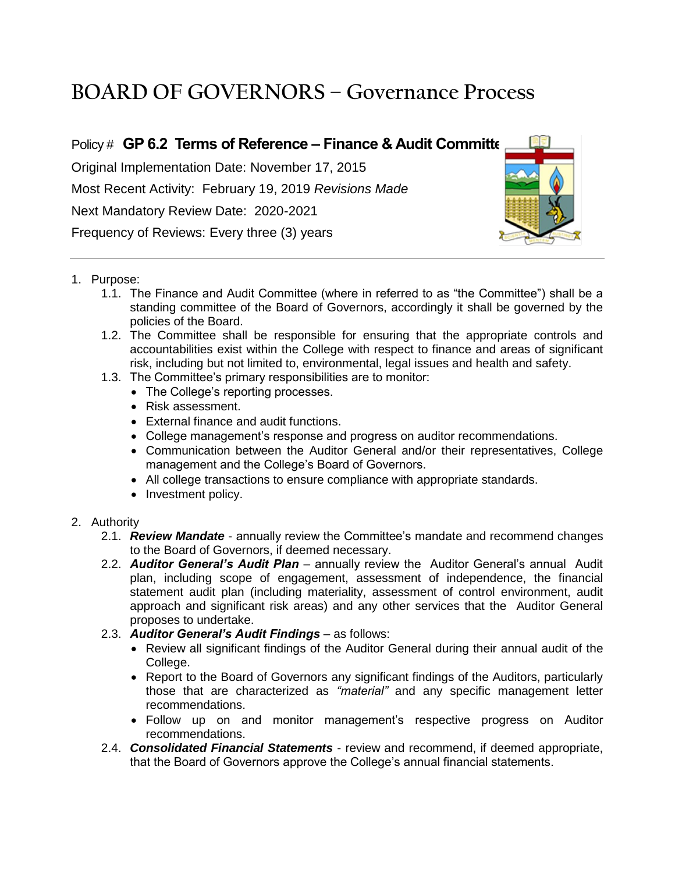# **BOARD OF GOVERNORS – Governance Process**

## Policy # **GP 6.2 Terms of Reference – Finance & Audit Committee**

Original Implementation Date: November 17, 2015 Most Recent Activity: February 19, 2019 *Revisions Made* Next Mandatory Review Date: 2020-2021 Frequency of Reviews: Every three (3) years



#### 1. Purpose:

- 1.1. The Finance and Audit Committee (where in referred to as "the Committee") shall be a standing committee of the Board of Governors, accordingly it shall be governed by the policies of the Board.
- 1.2. The Committee shall be responsible for ensuring that the appropriate controls and accountabilities exist within the College with respect to finance and areas of significant risk, including but not limited to, environmental, legal issues and health and safety.
- 1.3. The Committee's primary responsibilities are to monitor:
	- The College's reporting processes.
	- Risk assessment.
	- External finance and audit functions.
	- College management's response and progress on auditor recommendations.
	- Communication between the Auditor General and/or their representatives, College management and the College's Board of Governors.
	- All college transactions to ensure compliance with appropriate standards.
	- Investment policy.
- 2. Authority
	- 2.1. *Review Mandate* annually review the Committee's mandate and recommend changes to the Board of Governors, if deemed necessary.
	- 2.2. *Auditor General's Audit Plan* annually review the Auditor General's annual Audit plan, including scope of engagement, assessment of independence, the financial statement audit plan (including materiality, assessment of control environment, audit approach and significant risk areas) and any other services that the Auditor General proposes to undertake.
	- 2.3. *Auditor General's Audit Findings* as follows:
		- Review all significant findings of the Auditor General during their annual audit of the College.
		- Report to the Board of Governors any significant findings of the Auditors, particularly those that are characterized as *"material"* and any specific management letter recommendations.
		- Follow up on and monitor management's respective progress on Auditor recommendations.
	- 2.4. *Consolidated Financial Statements* review and recommend, if deemed appropriate, that the Board of Governors approve the College's annual financial statements.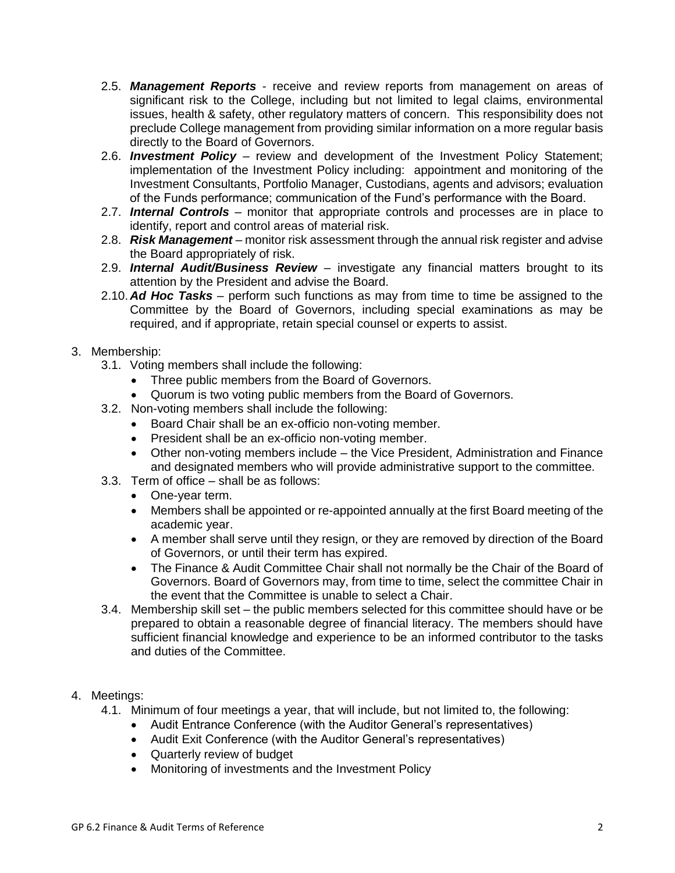- 2.5. *Management Reports* receive and review reports from management on areas of significant risk to the College, including but not limited to legal claims, environmental issues, health & safety, other regulatory matters of concern. This responsibility does not preclude College management from providing similar information on a more regular basis directly to the Board of Governors.
- 2.6. *Investment Policy* review and development of the Investment Policy Statement; implementation of the Investment Policy including: appointment and monitoring of the Investment Consultants, Portfolio Manager, Custodians, agents and advisors; evaluation of the Funds performance; communication of the Fund's performance with the Board.
- 2.7. *Internal Controls* monitor that appropriate controls and processes are in place to identify, report and control areas of material risk.
- 2.8. *Risk Management* monitor risk assessment through the annual risk register and advise the Board appropriately of risk.
- 2.9. *Internal Audit/Business Review* investigate any financial matters brought to its attention by the President and advise the Board.
- 2.10. *Ad Hoc Tasks* perform such functions as may from time to time be assigned to the Committee by the Board of Governors, including special examinations as may be required, and if appropriate, retain special counsel or experts to assist.

### 3. Membership:

- 3.1. Voting members shall include the following:
	- Three public members from the Board of Governors.
	- Quorum is two voting public members from the Board of Governors.
- 3.2. Non-voting members shall include the following:
	- Board Chair shall be an ex-officio non-voting member.
	- President shall be an ex-officio non-voting member.
	- Other non-voting members include the Vice President, Administration and Finance and designated members who will provide administrative support to the committee.
- 3.3. Term of office shall be as follows:
	- One-year term.
	- Members shall be appointed or re-appointed annually at the first Board meeting of the academic year.
	- A member shall serve until they resign, or they are removed by direction of the Board of Governors, or until their term has expired.
	- The Finance & Audit Committee Chair shall not normally be the Chair of the Board of Governors. Board of Governors may, from time to time, select the committee Chair in the event that the Committee is unable to select a Chair.
- 3.4. Membership skill set the public members selected for this committee should have or be prepared to obtain a reasonable degree of financial literacy. The members should have sufficient financial knowledge and experience to be an informed contributor to the tasks and duties of the Committee.

#### 4. Meetings:

- 4.1. Minimum of four meetings a year, that will include, but not limited to, the following:
	- Audit Entrance Conference (with the Auditor General's representatives)
	- Audit Exit Conference (with the Auditor General's representatives)
	- Quarterly review of budget
	- Monitoring of investments and the Investment Policy